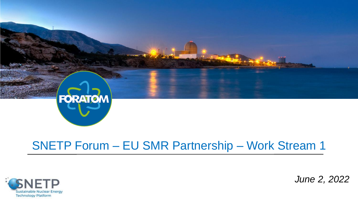

## SNETP Forum – EU SMR Partnership – Work Stream 1



*June 2, 2022*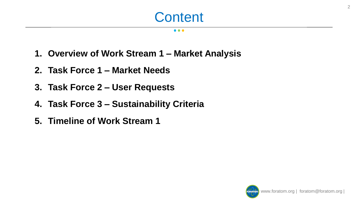#### $\bullet\bullet\bullet$

- **1. Overview of Work Stream 1 – Market Analysis**
- **2. Task Force 1 – Market Needs**
- **3. Task Force 2 – User Requests**
- **4. Task Force 3 – Sustainability Criteria**
- **5. Timeline of Work Stream 1**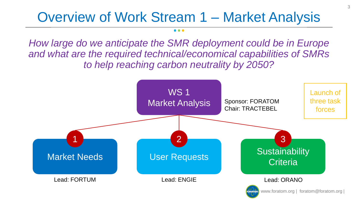## Overview of Work Stream 1 – Market Analysis

*How large do we anticipate the SMR deployment could be in Europe and what are the required technical/economical capabilities of SMRs to help reaching carbon neutrality by 2050?*

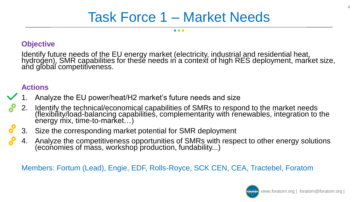## Task Force 1 – Market Needs

 $\bullet\bullet\bullet$ 

### **Objective**

Identify future needs of the EU energy market (electricity, industrial and residential heat, hydrogen), SMR capabilities for these needs in a context of high RES deployment, market size, and global competitiveness.

### **Actions**

- 1. Analyze the EU power/heat/H2 market's future needs and size
- 2. Identify the technical/economical capabilities of SMRs to respond to the market needs (flexibility/load-balancing capabilities, complementarity with renewables, integration to the energy mix, time-to-market...)
- 3. Size the corresponding market potential for SMR deployment
- 4. Analyze the competitiveness opportunities of SMRs with respect to other energy solutions (economies of mass, workshop production, fundability...)

Members: Fortum (Lead), Engie, EDF, Rolls-Royce, SCK CEN, CEA, Tractebel, Foratom

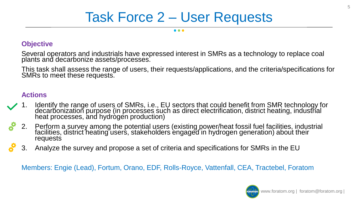#### . . .

### **Objective**

Several operators and industrials have expressed interest in SMRs as a technology to replace coal plants and decarbonize assets/processes.

This task shall assess the range of users, their requests/applications, and the criteria/specifications for SMRs to meet these requests.

### **Actions**

- 1. Identify the range of users of SMRs, i.e., EU sectors that could benefit from SMR technology for decarbonization purpose (in processes such as direct electrification, district heating, industrial heat processes, and hydrogen production)
- 2. Perform a survey among the potential users (existing power/heat fossil fuel facilities, industrial facilities, district heating users, stakeholders engaged in hydrogen generation) about their requests
- 3. Analyze the survey and propose a set of criteria and specifications for SMRs in the EU

Members: Engie (Lead), Fortum, Orano, EDF, Rolls-Royce, Vattenfall, CEA, Tractebel, Foratom

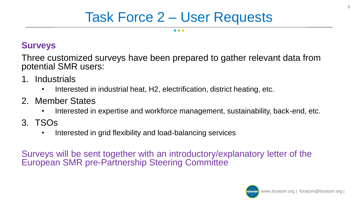## **Surveys**

Three customized surveys have been prepared to gather relevant data from potential SMR users:

- 1. Industrials
	- Interested in industrial heat, H2, electrification, district heating, etc.
- 2. Member States
	- Interested in expertise and workforce management, sustainability, back-end, etc.
- 3. TSOs
	- Interested in grid flexibility and load-balancing services

Surveys will be sent together with an introductory/explanatory letter of the European SMR pre-Partnership Steering Committee

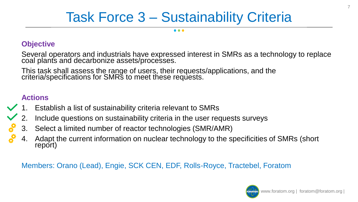## Task Force 3 – Sustainability Criteria

### **Objective**

Several operators and industrials have expressed interest in SMRs as a technology to replace coal plants and decarbonize assets/processes.

This task shall assess the range of users, their requests/applications, and the criteria/specifications for SMRs to meet these requests.

### **Actions**

- 1. Establish a list of sustainability criteria relevant to SMRs
- 2. Include questions on sustainability criteria in the user requests surveys
- 3. Select a limited number of reactor technologies (SMR/AMR)
- 4. Adapt the current information on nuclear technology to the specificities of SMRs (short report)

Members: Orano (Lead), Engie, SCK CEN, EDF, Rolls-Royce, Tractebel, Foratom

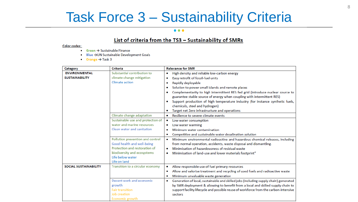## Task Force 3 – Sustainability Criteria

#### $\bullet\bullet\bullet$

#### List of criteria from the TS3 - Sustainability of SMRs

#### **Color codes:**

- $\bullet$  Green  $\rightarrow$  Sustainable Finance
- Blue -> UN Sustainable Development Goals
- Orange  $\rightarrow$  Task 3

| Category                     | <b>Criteria</b>                   | <b>Relevance for SMR</b>                                                                          |
|------------------------------|-----------------------------------|---------------------------------------------------------------------------------------------------|
| <b>ENVIRONMENTAL</b>         | Substantial contribution to       | High density and reliable low-carbon energy<br>۰                                                  |
| <b>SUSTAINABILITY</b>        | climate change mitigation         | Easy retrofit of fossil-fuel units<br>٠                                                           |
|                              | <b>Climate action</b>             | Rapidly deployable<br>٠                                                                           |
|                              |                                   | Solution to power small islands and remote places<br>٠                                            |
|                              |                                   | Complementarity to high intermittent RES fed grid (introduce nuclear source to<br>٠               |
|                              |                                   | guarantee stable source of energy when coupling with intermittent RES)                            |
|                              |                                   | Support production of high temperature industry (for instance synthetic fuels,                    |
|                              |                                   | chemicals, steel and hydrogen)                                                                    |
|                              |                                   | Target net Zero infrastructure and operations                                                     |
|                              | Climate change adaptation         | Resilience to severe climate events<br>$\bullet$                                                  |
|                              | Sustainable use and protection of | Low water consumption<br>٠                                                                        |
|                              | water and marine resources        | Low water warming<br>٠                                                                            |
|                              | Clean water and sanitation        | Minimum water contamination<br>۰                                                                  |
|                              |                                   | Competitive and sustainable water desalination solution                                           |
|                              | Pollution prevention and control  | Minimum environmental radioactive and hazardous chemical releases, including<br>٠                 |
|                              | Good health and well-being        | from normal operation, accidents, waste disposal and dismantling.                                 |
|                              | Protection and restoration of     | Minimisation of hazardousness of residual waste<br>٠                                              |
|                              | biodiversity and ecosystems       | Minimisation of land-use and lower materials footprint"                                           |
|                              | Life below water                  |                                                                                                   |
|                              | Life on land                      |                                                                                                   |
| <b>SOCIAL SUSTAINABILITY</b> | Transition to a circular economy  | Allow responsible use of fuel primary resources<br>٠                                              |
|                              |                                   | Allow and valorise treatment and recycling of used fuels and radioactive waste<br>٠               |
|                              |                                   | Minimum unvaluable waste generation                                                               |
|                              | Decent work and economic          | Generation of local, sustainable and skilled jobs (including supply chain) generated<br>$\bullet$ |
|                              | growth                            | by SMR deployment & allowing to benefit from a local and skilled supply chain to                  |
|                              | <b>Fair transition</b>            | support facility lifecycle and possible reuse of workforce from the carbon-intensive              |
|                              | Job creation                      | sectors                                                                                           |
|                              | Economic growth                   |                                                                                                   |